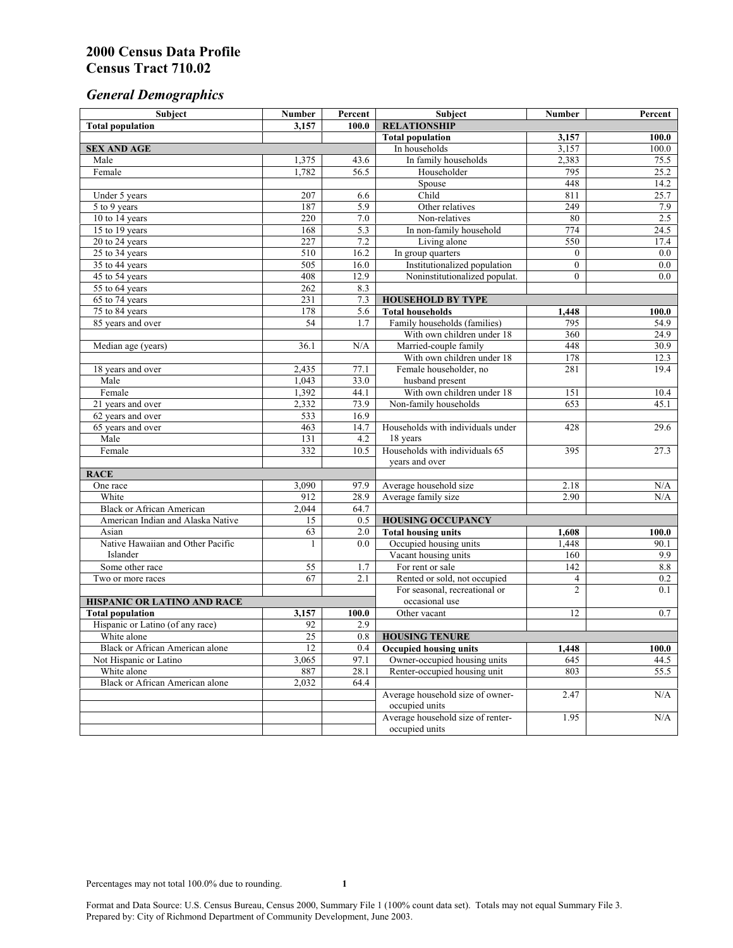# *General Demographics*

| Subject                           | <b>Number</b>          | Percent | Subject                                             | <b>Number</b>  | Percent      |
|-----------------------------------|------------------------|---------|-----------------------------------------------------|----------------|--------------|
| <b>Total population</b>           | 3,157                  | 100.0   | <b>RELATIONSHIP</b>                                 |                |              |
|                                   |                        |         | <b>Total population</b>                             | 3,157          | 100.0        |
| <b>SEX AND AGE</b>                |                        |         | In households                                       | 3,157          | 100.0        |
| Male                              | 1,375                  | 43.6    | In family households                                | 2,383          | 75.5         |
| Female                            | 1,782                  | 56.5    | Householder                                         | 795            | 25.2         |
|                                   |                        |         | Spouse                                              | 448            | 14.2         |
| Under 5 years                     | 207                    | 6.6     | Child                                               | 811            | 25.7         |
| 5 to 9 years                      | 187                    | 5.9     | Other relatives                                     | 249            | 7.9          |
| 10 to 14 years                    | 220                    | $7.0\,$ | Non-relatives                                       | 80             | 2.5          |
| 15 to 19 years                    | 168                    | 5.3     | In non-family household                             | 774            | 24.5         |
| 20 to 24 years                    | 227                    | 7.2     | Living alone                                        | 550            | 17.4         |
| $25 \text{ to } 34$ years         | 510                    | 16.2    | In group quarters                                   | $\overline{0}$ | 0.0          |
| 35 to 44 years                    | 505                    | 16.0    | Institutionalized population                        | $\overline{0}$ | 0.0          |
| 45 to 54 years                    | 408                    | 12.9    | Noninstitutionalized populat.                       | $\overline{0}$ | 0.0          |
| 55 to 64 years                    | 262                    | 8.3     |                                                     |                |              |
| 65 to 74 years                    | 231                    | 7.3     | <b>HOUSEHOLD BY TYPE</b>                            |                |              |
| 75 to 84 years                    | 178<br>$\overline{54}$ | 5.6     | <b>Total households</b>                             | 1,448          | 100.0        |
| 85 years and over                 |                        | 1.7     | Family households (families)                        | 795            | 54.9         |
|                                   | 36.1                   | N/A     | With own children under 18<br>Married-couple family | 360<br>448     | 24.9<br>30.9 |
| Median age (years)                |                        |         | With own children under 18                          | 178            | 12.3         |
|                                   | 2,435                  | 77.1    | Female householder, no                              | 281            | 19.4         |
| 18 years and over<br>Male         | 1,043                  | 33.0    | husband present                                     |                |              |
| Female                            | 1,392                  | 44.1    | With own children under 18                          | 151            | 10.4         |
| 21 years and over                 | 2,332                  | 73.9    | Non-family households                               | 653            | 45.1         |
| 62 years and over                 | 533                    | 16.9    |                                                     |                |              |
| 65 years and over                 | 463                    | 14.7    | Households with individuals under                   | 428            | 29.6         |
| Male                              | 131                    | 4.2     | 18 years                                            |                |              |
| Female                            | 332                    | 10.5    | Households with individuals 65                      | 395            | 27.3         |
|                                   |                        |         | years and over                                      |                |              |
| <b>RACE</b>                       |                        |         |                                                     |                |              |
| One race                          | 3,090                  | 97.9    | Average household size                              | 2.18           | $\rm N/A$    |
| White                             | 912                    | 28.9    | Average family size                                 | 2.90           | N/A          |
| <b>Black or African American</b>  | 2,044                  | 64.7    |                                                     |                |              |
| American Indian and Alaska Native | 15                     | 0.5     | <b>HOUSING OCCUPANCY</b>                            |                |              |
| Asian                             | 63                     | 2.0     | <b>Total housing units</b>                          | 1,608          | 100.0        |
| Native Hawaiian and Other Pacific | 1                      | 0.0     | Occupied housing units                              | 1,448          | 90.1         |
| Islander                          |                        |         | Vacant housing units                                | 160            | 9.9          |
| Some other race                   | 55                     | 1.7     | For rent or sale                                    | 142            | $8.8\,$      |
| Two or more races                 | 67                     | 2.1     | Rented or sold, not occupied                        | $\overline{4}$ | 0.2          |
|                                   |                        |         | For seasonal, recreational or                       | $\overline{2}$ | 0.1          |
| HISPANIC OR LATINO AND RACE       |                        |         | occasional use                                      |                |              |
| <b>Total population</b>           | 3,157                  | 100.0   | Other vacant                                        | 12             | 0.7          |
| Hispanic or Latino (of any race)  | 92                     | 2.9     |                                                     |                |              |
| White alone                       | $\overline{25}$        | 0.8     | <b>HOUSING TENURE</b>                               |                |              |
| Black or African American alone   | 12                     | 0.4     | <b>Occupied housing units</b>                       | 1,448          | 100.0        |
| Not Hispanic or Latino            | 3,065                  | 97.1    | Owner-occupied housing units                        | 645            | 44.5         |
| White alone                       | 887                    | 28.1    | Renter-occupied housing unit                        | 803            | 55.5         |
| Black or African American alone   | 2,032                  | 64.4    |                                                     |                |              |
|                                   |                        |         | Average household size of owner-                    | 2.47           | N/A          |
|                                   |                        |         | occupied units                                      |                |              |
|                                   |                        |         | Average household size of renter-                   | 1.95           | N/A          |
|                                   |                        |         | occupied units                                      |                |              |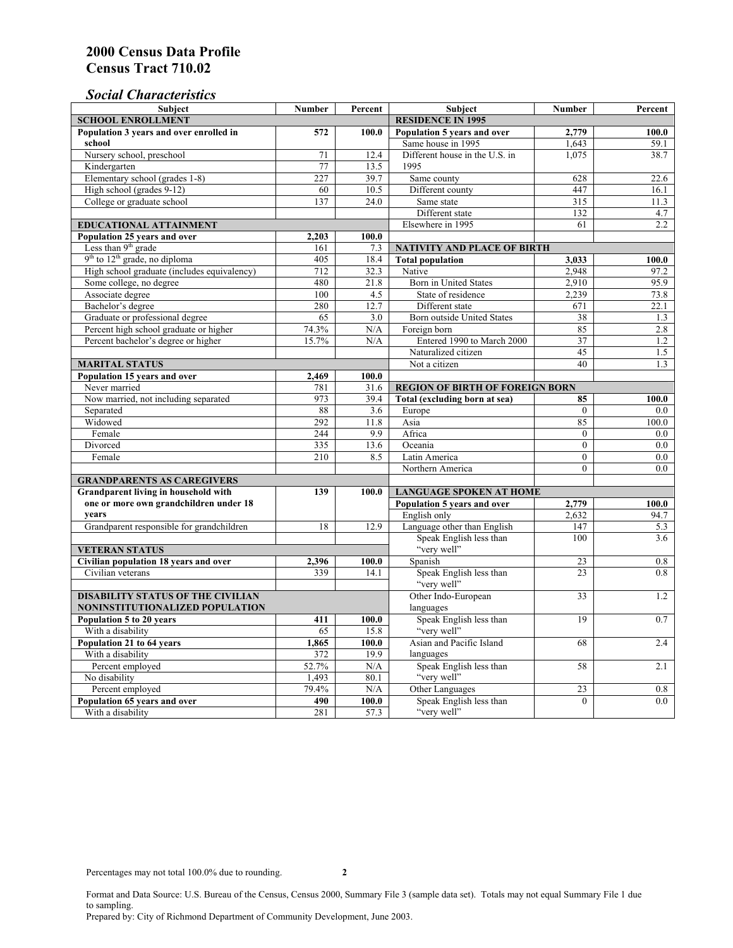### *Social Characteristics*

| <b>Subject</b>                                       | <b>Number</b>            | Percent | <b>Subject</b>                         | <b>Number</b> | Percent |
|------------------------------------------------------|--------------------------|---------|----------------------------------------|---------------|---------|
| <b>SCHOOL ENROLLMENT</b>                             | <b>RESIDENCE IN 1995</b> |         |                                        |               |         |
| Population 3 years and over enrolled in              | 572                      | 100.0   | Population 5 years and over            | 2,779         | 100.0   |
| school                                               |                          |         | Same house in 1995                     | 1,643         | 59.1    |
| Nursery school, preschool                            | 71                       | 12.4    | Different house in the U.S. in         | 1,075         | 38.7    |
| Kindergarten                                         | $\overline{77}$          | 13.5    | 1995                                   |               |         |
| Elementary school (grades 1-8)                       | 227                      | 39.7    | Same county                            | 628           | 22.6    |
| High school (grades 9-12)                            | 60                       | 10.5    | Different county                       | 447           | 16.1    |
| College or graduate school                           | 137                      | 24.0    | Same state                             | 315           | 11.3    |
|                                                      |                          |         | Different state                        | 132           | 4.7     |
| EDUCATIONAL ATTAINMENT                               |                          |         | Elsewhere in 1995                      | 61            | 2.2     |
| Population 25 years and over                         | 2,203                    | 100.0   |                                        |               |         |
| Less than 9 <sup>th</sup> grade                      | 161                      | 7.3     | <b>NATIVITY AND PLACE OF BIRTH</b>     |               |         |
| $9th$ to $12th$ grade, no diploma                    | 405                      | 18.4    | <b>Total population</b>                | 3,033         | 100.0   |
| High school graduate (includes equivalency)          | 712                      | 32.3    | Native                                 | 2.948         | 97.2    |
| Some college, no degree                              | 480                      | 21.8    | Born in United States                  | 2,910         | 95.9    |
| Associate degree                                     | 100                      | 4.5     | State of residence                     | 2,239         | 73.8    |
| Bachelor's degree                                    | 280                      | 12.7    | Different state                        | 671           | 22.1    |
| Graduate or professional degree                      | 65                       | 3.0     | <b>Born outside United States</b>      | 38            | 1.3     |
| Percent high school graduate or higher               | 74.3%                    | N/A     | Foreign born                           | 85            | 2.8     |
| Percent bachelor's degree or higher                  | 15.7%                    | N/A     | Entered 1990 to March 2000             | 37            | 1.2     |
|                                                      |                          |         | Naturalized citizen                    | 45            | 1.5     |
| <b>MARITAL STATUS</b>                                | Not a citizen            | 40      | 1.3                                    |               |         |
| Population 15 years and over                         | 2,469                    | 100.0   |                                        |               |         |
| Never married                                        | 781                      | 31.6    | <b>REGION OF BIRTH OF FOREIGN BORN</b> |               |         |
| Now married, not including separated                 | 973                      | 39.4    | Total (excluding born at sea)          | 85            | 100.0   |
| Separated                                            | 88                       | 3.6     | Europe                                 | $\mathbf{0}$  | $0.0\,$ |
| Widowed                                              | 292                      | 11.8    | Asia                                   | 85            | 100.0   |
| Female                                               | 244                      | 9.9     | Africa                                 | $\Omega$      | 0.0     |
| Divorced                                             | 335                      | 13.6    | Oceania                                | $\mathbf{0}$  | 0.0     |
| Female                                               | 210                      | 8.5     | Latin America                          | $\mathbf{0}$  | 0.0     |
|                                                      |                          |         | Northern America                       | $\theta$      | 0.0     |
| <b>GRANDPARENTS AS CAREGIVERS</b>                    |                          |         |                                        |               |         |
| Grandparent living in household with<br>139<br>100.0 |                          |         | <b>LANGUAGE SPOKEN AT HOME</b>         |               |         |
| one or more own grandchildren under 18               |                          |         | Population 5 years and over            | 2,779         | 100.0   |
| years                                                |                          |         | English only                           | 2,632         | 94.7    |
| Grandparent responsible for grandchildren            | 18                       | 12.9    | Language other than English            | 147           | 5.3     |
|                                                      |                          |         | Speak English less than                | 100           | 3.6     |
| <b>VETERAN STATUS</b>                                |                          |         | "very well"                            |               |         |
| Civilian population 18 years and over                | 2,396                    | 100.0   | Spanish                                | 23            | 0.8     |
| Civilian veterans                                    | 339                      | 14.1    | Speak English less than                | 23            | 0.8     |
|                                                      |                          |         | "very well"                            |               |         |
| <b>DISABILITY STATUS OF THE CIVILIAN</b>             | Other Indo-European      | 33      | 1.2                                    |               |         |
| NONINSTITUTIONALIZED POPULATION                      | languages                |         |                                        |               |         |
| Population 5 to 20 years                             | 411                      | 100.0   | Speak English less than                | 19            | 0.7     |
| With a disability                                    | 65                       | 15.8    | "very well"                            |               |         |
| Population 21 to 64 years                            | 1.865                    | 100.0   | Asian and Pacific Island               | 68            | 2.4     |
| With a disability                                    | 372                      | 19.9    | languages                              |               |         |
| Percent employed                                     | 52.7%                    | N/A     | Speak English less than                | 58            | 2.1     |
| No disability                                        | 1,493                    | 80.1    | "very well"                            |               |         |
| Percent employed                                     | 79.4%                    | N/A     | Other Languages                        | 23            | 0.8     |
| Population 65 years and over                         | 490                      | 100.0   | Speak English less than                | $\mathbf{0}$  | 0.0     |
| With a disability                                    | 281                      | 57.3    | "very well"                            |               |         |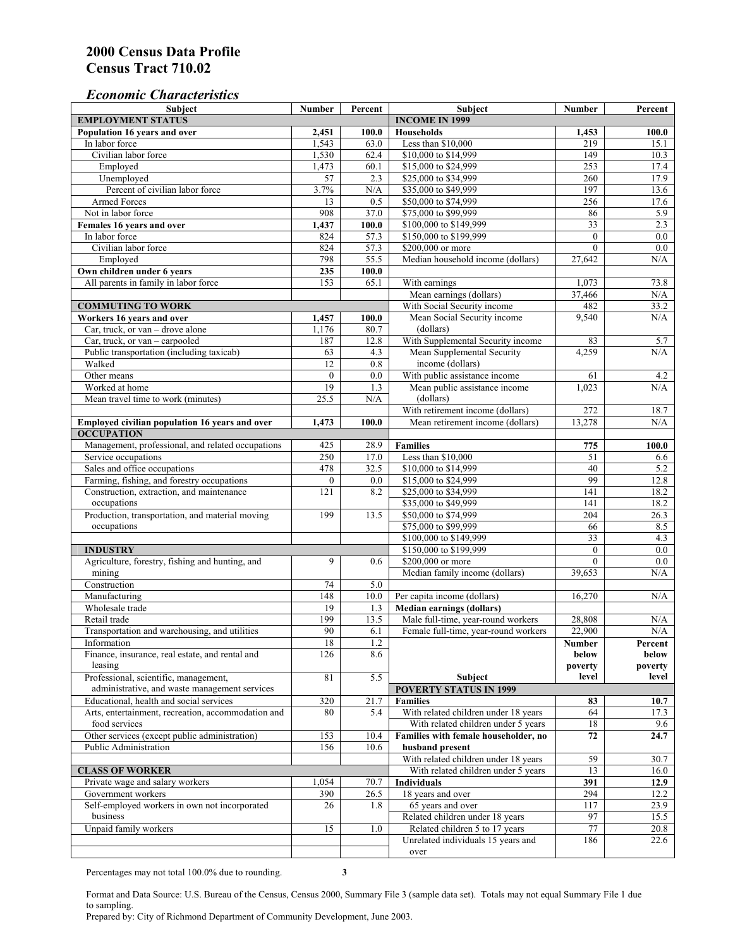### *Economic Characteristics*

| <b>Subject</b>                                     | Number           | Percent     | Subject                                                              | Number         | Percent                   |
|----------------------------------------------------|------------------|-------------|----------------------------------------------------------------------|----------------|---------------------------|
| <b>EMPLOYMENT STATUS</b>                           |                  |             | <b>INCOME IN 1999</b>                                                |                |                           |
| Population 16 years and over                       | 2,451            | 100.0       | <b>Households</b>                                                    | 1,453          | 100.0                     |
| In labor force                                     | 1,543            | 63.0        | Less than \$10,000                                                   | 219            | 15.1                      |
| Civilian labor force                               | 1,530            | 62.4        | \$10,000 to \$14,999                                                 | 149            | 10.3                      |
| Employed                                           | 1,473            | 60.1        | \$15,000 to \$24,999                                                 | 253            | 17.4                      |
| Unemployed                                         | 57               | 2.3         | \$25,000 to \$34,999                                                 | 260            | 17.9                      |
| Percent of civilian labor force                    | 3.7%             | N/A         | \$35,000 to \$49,999                                                 | 197            | 13.6                      |
| Armed Forces                                       | 13               | 0.5         | \$50,000 to \$74,999                                                 | 256            | 17.6                      |
| Not in labor force                                 | 908              | 37.0        | \$75,000 to \$99,999                                                 | 86             | 5.9                       |
| Females 16 years and over                          | 1,437            | 100.0       | \$100,000 to \$149,999                                               | 33             | 2.3                       |
| In labor force                                     | 824              | 57.3        | \$150,000 to \$199,999                                               | $\overline{0}$ | $\overline{0.0}$          |
| Civilian labor force                               | 824              | 57.3        | \$200,000 or more                                                    | $\mathbf{0}$   | 0.0                       |
| Employed                                           | 798              | 55.5        | Median household income (dollars)                                    | 27,642         | N/A                       |
| Own children under 6 years                         | 235              | 100.0       |                                                                      |                |                           |
| All parents in family in labor force               | 153              | 65.1        | With earnings                                                        | 1,073          | 73.8                      |
|                                                    |                  |             | Mean earnings (dollars)                                              | 37,466         | N/A                       |
| <b>COMMUTING TO WORK</b>                           |                  |             | With Social Security income                                          | 482            | 33.2                      |
| Workers 16 years and over                          | 1,457            | 100.0       | Mean Social Security income                                          | 9,540          | N/A                       |
| Car, truck, or van – drove alone                   | 1,176            | 80.7        | (dollars)                                                            |                |                           |
| Car, truck, or van - carpooled                     | 187              | 12.8        | With Supplemental Security income                                    | 83             | 5.7                       |
| Public transportation (including taxicab)          | 63               | 4.3         | Mean Supplemental Security                                           | 4,259          | N/A                       |
| Walked                                             | 12               | 0.8         | income (dollars)                                                     |                |                           |
| Other means                                        | $\boldsymbol{0}$ | 0.0         | With public assistance income                                        | 61             | 4.2                       |
| Worked at home                                     | 19               | 1.3         | Mean public assistance income                                        | 1,023          | N/A                       |
| Mean travel time to work (minutes)                 | 25.5             | N/A         | (dollars)                                                            |                |                           |
|                                                    |                  |             | With retirement income (dollars)                                     | 272            | 18.7                      |
| Employed civilian population 16 years and over     | 1,473            | 100.0       | Mean retirement income (dollars)                                     | 13,278         | N/A                       |
| <b>OCCUPATION</b>                                  |                  |             |                                                                      |                |                           |
| Management, professional, and related occupations  | 425              | 28.9        | <b>Families</b>                                                      | 775            | 100.0                     |
| Service occupations                                | 250              | 17.0        | Less than \$10,000                                                   | 51             | 6.6                       |
| Sales and office occupations                       | 478              | 32.5        | \$10,000 to \$14,999                                                 | 40             | 5.2                       |
| Farming, fishing, and forestry occupations         | $\mathbf{0}$     | 0.0         | \$15,000 to \$24,999                                                 | 99             | 12.8                      |
| Construction, extraction, and maintenance          | 121              | 8.2         | \$25,000 to \$34,999                                                 | 141            | 18.2                      |
| occupations                                        |                  |             | \$35,000 to \$49,999                                                 | 141            | 18.2                      |
| Production, transportation, and material moving    | 199              | 13.5        | \$50,000 to \$74,999                                                 | 204            | 26.3                      |
| occupations                                        |                  |             | \$75,000 to \$99,999                                                 | 66             | 8.5                       |
|                                                    |                  |             | \$100,000 to \$149,999                                               | 33             | 4.3                       |
| <b>INDUSTRY</b>                                    |                  |             | \$150,000 to \$199,999                                               | $\mathbf{0}$   | $0.0\,$                   |
| Agriculture, forestry, fishing and hunting, and    | 9                | 0.6         | \$200,000 or more                                                    | $\theta$       | 0.0                       |
| mining                                             |                  |             | Median family income (dollars)                                       | 39,653         | N/A                       |
| Construction                                       | 74               | 5.0         |                                                                      |                |                           |
| Manufacturing                                      | 148              | 10.0        | Per capita income (dollars)                                          | 16.270         | N/A                       |
| Wholesale trade                                    | 19               | 1.3         | <b>Median earnings (dollars)</b>                                     |                |                           |
| Retail trade                                       | 199              | 13.5        | Male full-time, year-round workers                                   | 28,808         | N/A                       |
| Transportation and warehousing, and utilities      | 90               | 6.1         | Female full-time, year-round workers                                 | 22,900         | N/A                       |
| Information                                        | 18               | 1.2         |                                                                      | Number         | Percent                   |
| Finance, insurance, real estate, and rental and    | 126              | 8.6         |                                                                      | below          | below                     |
| leasing                                            |                  |             |                                                                      | poverty        | poverty                   |
| Professional, scientific, management,              | 81               | 5.5         | Subject                                                              | level          | ${\bf level}$             |
| administrative, and waste management services      |                  |             | <b>POVERTY STATUS IN 1999</b>                                        |                |                           |
| Educational, health and social services            | 320              | 21.7        | <b>Families</b>                                                      | 83             | 10.7                      |
| Arts, entertainment, recreation, accommodation and | 80               | 5.4         | With related children under 18 years                                 | 64             | 17.3                      |
| food services                                      |                  |             | With related children under 5 years                                  | 18             | 9.6                       |
| Other services (except public administration)      | 153              | 10.4        | Families with female householder, no                                 | 72             | 24.7                      |
| Public Administration                              | 156              | 10.6        | husband present                                                      |                |                           |
|                                                    |                  |             | With related children under 18 years                                 | 59             | 30.7                      |
| <b>CLASS OF WORKER</b>                             |                  |             | With related children under 5 years                                  | 13             | 16.0                      |
| Private wage and salary workers                    | 1,054            | 70.7        | Individuals                                                          | 391            | 12.9                      |
| Government workers                                 | 390              |             | 18 years and over                                                    | 294            |                           |
| Self-employed workers in own not incorporated      | 26               | 26.5<br>1.8 | 65 years and over                                                    | 117            | 12.2<br>23.9              |
| business                                           |                  |             | Related children under 18 years                                      | 97             | 15.5                      |
| Unpaid family workers                              | 15               |             |                                                                      | 77             |                           |
|                                                    |                  | 1.0         | Related children 5 to 17 years<br>Unrelated individuals 15 years and | 186            | 20.8<br>$22.\overline{6}$ |
|                                                    |                  |             |                                                                      |                |                           |
|                                                    |                  |             | over                                                                 |                |                           |

Percentages may not total 100.0% due to rounding. **3** 

Format and Data Source: U.S. Bureau of the Census, Census 2000, Summary File 3 (sample data set). Totals may not equal Summary File 1 due to sampling.

Prepared by: City of Richmond Department of Community Development, June 2003.